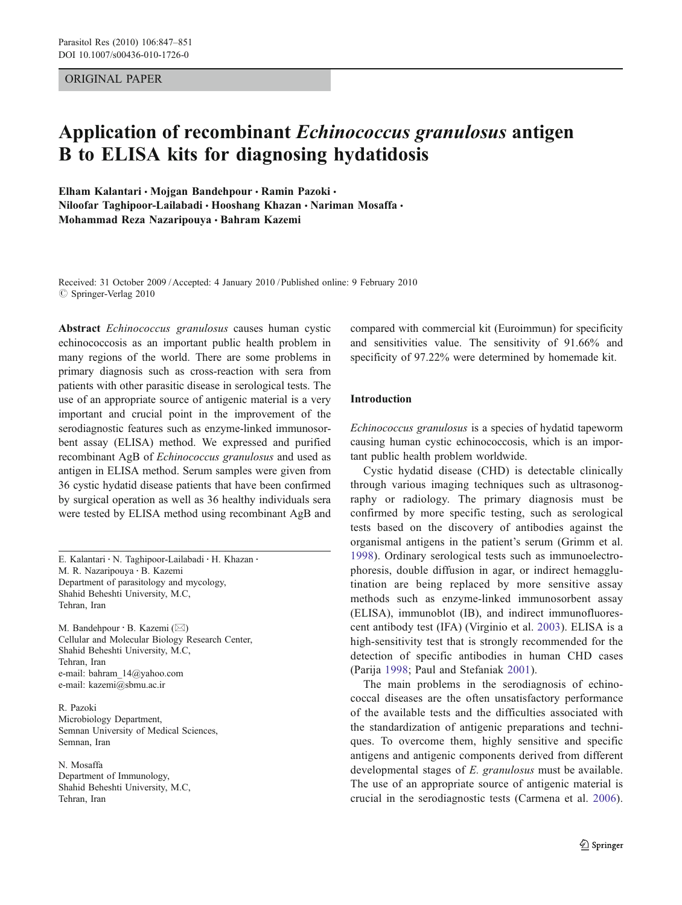### ORIGINAL PAPER

# Application of recombinant Echinococcus granulosus antigen B to ELISA kits for diagnosing hydatidosis

Elham Kalantari • Mojgan Bandehpour • Ramin Pazoki • Niloofar Taghipoor-Lailabadi · Hooshang Khazan · Nariman Mosaffa · Mohammad Reza Nazaripouya & Bahram Kazemi

Received: 31 October 2009 /Accepted: 4 January 2010 / Published online: 9 February 2010  $\oslash$  Springer-Verlag 2010

Abstract Echinococcus granulosus causes human cystic echinococcosis as an important public health problem in many regions of the world. There are some problems in primary diagnosis such as cross-reaction with sera from patients with other parasitic disease in serological tests. The use of an appropriate source of antigenic material is a very important and crucial point in the improvement of the serodiagnostic features such as enzyme-linked immunosorbent assay (ELISA) method. We expressed and purified recombinant AgB of Echinococcus granulosus and used as antigen in ELISA method. Serum samples were given from 36 cystic hydatid disease patients that have been confirmed by surgical operation as well as 36 healthy individuals sera were tested by ELISA method using recombinant AgB and

E. Kalantari : N. Taghipoor-Lailabadi : H. Khazan : M. R. Nazaripouya : B. Kazemi Department of parasitology and mycology, Shahid Beheshti University, M.C, Tehran, Iran

M. Bandehpour : B. Kazemi (*\**) Cellular and Molecular Biology Research Center, Shahid Beheshti University, M.C, Tehran, Iran e-mail: bahram\_14@yahoo.com e-mail: kazemi@sbmu.ac.ir

R. Pazoki Microbiology Department, Semnan University of Medical Sciences, Semnan, Iran

N. Mosaffa Department of Immunology, Shahid Beheshti University, M.C, Tehran, Iran

compared with commercial kit (Euroimmun) for specificity and sensitivities value. The sensitivity of 91.66% and specificity of 97.22% were determined by homemade kit.

# Introduction

Echinococcus granulosus is a species of hydatid tapeworm causing human cystic echinococcosis, which is an important public health problem worldwide.

Cystic hydatid disease (CHD) is detectable clinically through various imaging techniques such as ultrasonography or radiology. The primary diagnosis must be confirmed by more specific testing, such as serological tests based on the discovery of antibodies against the organismal antigens in the patient's serum (Grimm et al. [1998](#page-3-0)). Ordinary serological tests such as immunoelectrophoresis, double diffusion in agar, or indirect hemagglutination are being replaced by more sensitive assay methods such as enzyme-linked immunosorbent assay (ELISA), immunoblot (IB), and indirect immunofluorescent antibody test (IFA) (Virginio et al. [2003\)](#page-4-0). ELISA is a high-sensitivity test that is strongly recommended for the detection of specific antibodies in human CHD cases (Parija [1998;](#page-4-0) Paul and Stefaniak [2001\)](#page-4-0).

The main problems in the serodiagnosis of echinococcal diseases are the often unsatisfactory performance of the available tests and the difficulties associated with the standardization of antigenic preparations and techniques. To overcome them, highly sensitive and specific antigens and antigenic components derived from different developmental stages of E. granulosus must be available. The use of an appropriate source of antigenic material is crucial in the serodiagnostic tests (Carmena et al. [2006](#page-3-0)).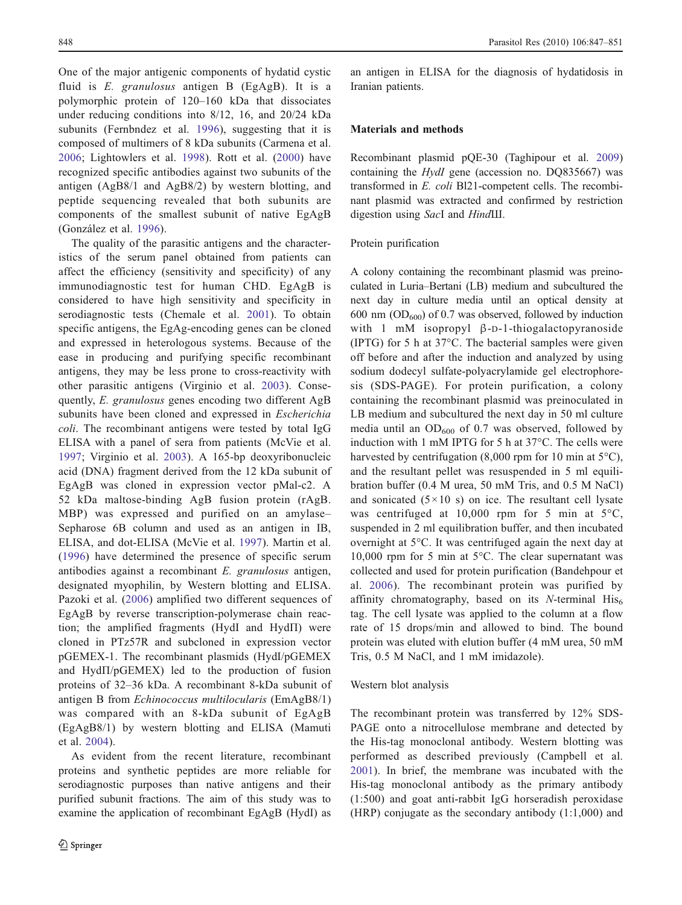One of the major antigenic components of hydatid cystic fluid is E. granulosus antigen B (EgAgB). It is a polymorphic protein of 120–160 kDa that dissociates under reducing conditions into 8/12, 16, and 20/24 kDa subunits (Fernbndez et al. [1996\)](#page-3-0), suggesting that it is composed of multimers of 8 kDa subunits (Carmena et al. [2006](#page-3-0); Lightowlers et al. [1998](#page-4-0)). Rott et al. ([2000](#page-4-0)) have recognized specific antibodies against two subunits of the antigen (AgB8/1 and AgB8/2) by western blotting, and peptide sequencing revealed that both subunits are components of the smallest subunit of native EgAgB (González et al. [1996\)](#page-4-0).

The quality of the parasitic antigens and the characteristics of the serum panel obtained from patients can affect the efficiency (sensitivity and specificity) of any immunodiagnostic test for human CHD. EgAgB is considered to have high sensitivity and specificity in serodiagnostic tests (Chemale et al. [2001](#page-3-0)). To obtain specific antigens, the EgAg-encoding genes can be cloned and expressed in heterologous systems. Because of the ease in producing and purifying specific recombinant antigens, they may be less prone to cross-reactivity with other parasitic antigens (Virginio et al. [2003\)](#page-4-0). Consequently, E. granulosus genes encoding two different AgB subunits have been cloned and expressed in Escherichia coli. The recombinant antigens were tested by total IgG ELISA with a panel of sera from patients (McVie et al. [1997](#page-4-0); Virginio et al. [2003](#page-4-0)). A 165-bp deoxyribonucleic acid (DNA) fragment derived from the 12 kDa subunit of EgAgB was cloned in expression vector pMal-c2. A 52 kDa maltose-binding AgB fusion protein (rAgB. MBP) was expressed and purified on an amylase– Sepharose 6B column and used as an antigen in IB, ELISA, and dot-ELISA (McVie et al. [1997](#page-4-0)). Martin et al. [\(1996\)](#page-4-0) have determined the presence of specific serum antibodies against a recombinant E. granulosus antigen, designated myophilin, by Western blotting and ELISA. Pazoki et al. ([2006](#page-4-0)) amplified two different sequences of EgAgB by reverse transcription-polymerase chain reaction; the amplified fragments (HydІ and HydП) were cloned in PTz57R and subcloned in expression vector pGEMEX-1. The recombinant plasmids (HydІ/pGEMEX and HydП/pGEMEX) led to the production of fusion proteins of 32–36 kDa. A recombinant 8-kDa subunit of antigen B from Echinococcus multilocularis (EmAgB8/1) was compared with an 8-kDa subunit of EgAgB (EgAgB8/1) by western blotting and ELISA (Mamuti et al. [2004](#page-4-0)).

As evident from the recent literature, recombinant proteins and synthetic peptides are more reliable for serodiagnostic purposes than native antigens and their purified subunit fractions. The aim of this study was to examine the application of recombinant EgAgB (HydІ) as

an antigen in ELISA for the diagnosis of hydatidosis in Iranian patients.

## Materials and methods

Recombinant plasmid pQE-30 (Taghipour et al. [2009](#page-4-0)) containing the HydI gene (accession no. DQ835667) was transformed in E. coli Bl21-competent cells. The recombinant plasmid was extracted and confirmed by restriction digestion using SacІ and HindШ.

#### Protein purification

A colony containing the recombinant plasmid was preinoculated in Luria–Bertani (LB) medium and subcultured the next day in culture media until an optical density at 600 nm  $OD_{600}$  of 0.7 was observed, followed by induction with 1 mM isopropyl β-D-1-thiogalactopyranoside (IPTG) for 5 h at 37°C. The bacterial samples were given off before and after the induction and analyzed by using sodium dodecyl sulfate-polyacrylamide gel electrophoresis (SDS-PAGE). For protein purification, a colony containing the recombinant plasmid was preinoculated in LB medium and subcultured the next day in 50 ml culture media until an  $OD_{600}$  of 0.7 was observed, followed by induction with 1 mM IPTG for 5 h at 37°C. The cells were harvested by centrifugation (8,000 rpm for 10 min at  $5^{\circ}$ C), and the resultant pellet was resuspended in 5 ml equilibration buffer (0.4 M urea, 50 mM Tris, and 0.5 M NaCl) and sonicated  $(5 \times 10 \text{ s})$  on ice. The resultant cell lysate was centrifuged at 10,000 rpm for 5 min at 5°C, suspended in 2 ml equilibration buffer, and then incubated overnight at 5°C. It was centrifuged again the next day at 10,000 rpm for 5 min at 5°C. The clear supernatant was collected and used for protein purification (Bandehpour et al. [2006\)](#page-3-0). The recombinant protein was purified by affinity chromatography, based on its N-terminal  $His<sub>6</sub>$ tag. The cell lysate was applied to the column at a flow rate of 15 drops/min and allowed to bind. The bound protein was eluted with elution buffer (4 mM urea, 50 mM Tris, 0.5 M NaCl, and 1 mM imidazole).

#### Western blot analysis

The recombinant protein was transferred by 12% SDS-PAGE onto a nitrocellulose membrane and detected by the His-tag monoclonal antibody. Western blotting was performed as described previously (Campbell et al. [2001](#page-3-0)). In brief, the membrane was incubated with the His-tag monoclonal antibody as the primary antibody (1:500) and goat anti-rabbit IgG horseradish peroxidase (HRP) conjugate as the secondary antibody (1:1,000) and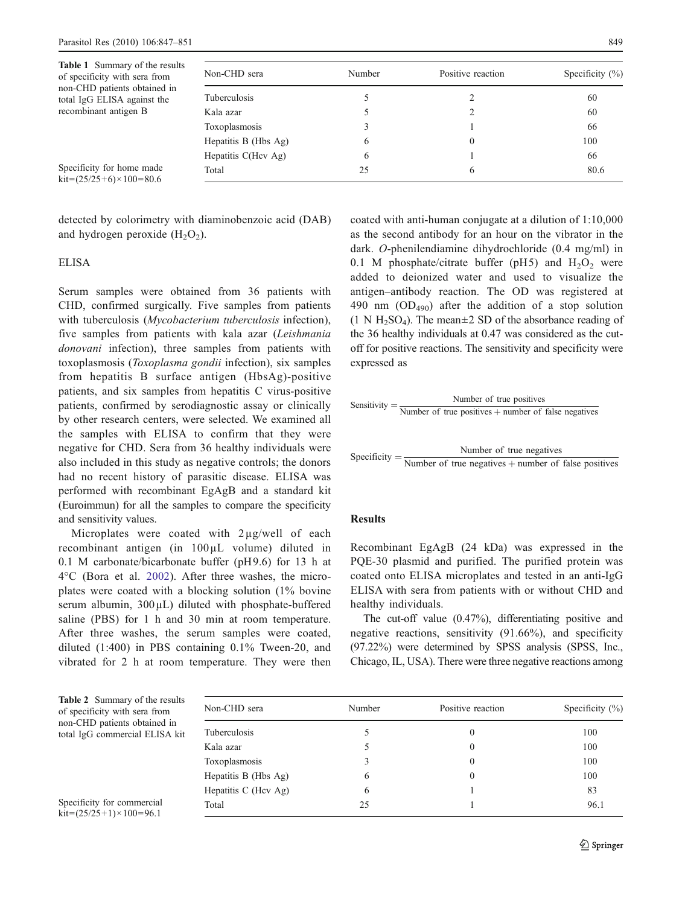<span id="page-2-0"></span>

| <b>Table 1</b> Summary of the results<br>of specificity with sera from    | Non-CHD sera         | Number | Positive reaction | Specificity $(\% )$ |
|---------------------------------------------------------------------------|----------------------|--------|-------------------|---------------------|
| non-CHD patients obtained in<br>total IgG ELISA against the               | Tuberculosis         |        |                   | 60                  |
| recombinant antigen B                                                     | Kala azar            |        |                   | 60                  |
|                                                                           | Toxoplasmosis        |        |                   | 66                  |
|                                                                           | Hepatitis B (Hbs Ag) | 6      | $\theta$          | 100                 |
|                                                                           | Hepatitis C(Hcv Ag)  | O      |                   | 66                  |
| Specificity for home made<br>$\text{kit} = (25/25 + 6) \times 100 = 80.6$ | Total                | 25     | 6                 | 80.6                |

detected by colorimetry with diaminobenzoic acid (DAB) and hydrogen peroxide  $(H_2O_2)$ .

## ELISA

Serum samples were obtained from 36 patients with CHD, confirmed surgically. Five samples from patients with tuberculosis (*Mycobacterium tuberculosis* infection), five samples from patients with kala azar (Leishmania donovani infection), three samples from patients with toxoplasmosis (Toxoplasma gondii infection), six samples from hepatitis B surface antigen (HbsAg)-positive patients, and six samples from hepatitis C virus-positive patients, confirmed by serodiagnostic assay or clinically by other research centers, were selected. We examined all the samples with ELISA to confirm that they were negative for CHD. Sera from 36 healthy individuals were also included in this study as negative controls; the donors had no recent history of parasitic disease. ELISA was performed with recombinant EgAgB and a standard kit (Euroimmun) for all the samples to compare the specificity and sensitivity values.

Microplates were coated with 2µg/well of each recombinant antigen (in 100µL volume) diluted in 0.1 M carbonate/bicarbonate buffer (pH9.6) for 13 h at 4°C (Bora et al. [2002](#page-3-0)). After three washes, the microplates were coated with a blocking solution (1% bovine serum albumin, 300µL) diluted with phosphate-buffered saline (PBS) for 1 h and 30 min at room temperature. After three washes, the serum samples were coated, diluted (1:400) in PBS containing 0.1% Tween-20, and vibrated for 2 h at room temperature. They were then coated with anti-human conjugate at a dilution of 1:10,000 as the second antibody for an hour on the vibrator in the dark. O-phenilendiamine dihydrochloride (0.4 mg/ml) in 0.1 M phosphate/citrate buffer (pH5) and  $H_2O_2$  were added to deionized water and used to visualize the antigen–antibody reaction. The OD was registered at 490 nm  $(OD_{490})$  after the addition of a stop solution  $(1 \text{ N H}_2\text{SO}_4)$ . The mean $\pm 2$  SD of the absorbance reading of the 36 healthy individuals at 0.47 was considered as the cutoff for positive reactions. The sensitivity and specificity were expressed as



Specificity  $=$   $\frac{\text{Number of true negatives}}{\text{Number of true negatives} + \text{number of false positives}}$ 

## Results

Recombinant EgAgB (24 kDa) was expressed in the PQE-30 plasmid and purified. The purified protein was coated onto ELISA microplates and tested in an anti-IgG ELISA with sera from patients with or without CHD and healthy individuals.

The cut-off value (0.47%), differentiating positive and negative reactions, sensitivity (91.66%), and specificity (97.22%) were determined by SPSS analysis (SPSS, Inc., Chicago, IL, USA). There were three negative reactions among

| <b>Table 2</b> Summary of the results |
|---------------------------------------|
| of specificity with sera from         |
| non-CHD patients obtained in          |
| total IgG commercial ELISA kit        |

Specificity for commercial  $kit = (25/25+1) \times 100 = 96.1$ 

| Non-CHD sera         | Number | Positive reaction | Specificity $(\%)$ |  |
|----------------------|--------|-------------------|--------------------|--|
| Tuberculosis         | 5      | $\theta$          | 100                |  |
| Kala azar            | 5      | $\theta$          | 100                |  |
| Toxoplasmosis        | 3      | 0                 | 100                |  |
| Hepatitis B (Hbs Ag) | 6      | $\theta$          | 100                |  |
| Hepatitis C (Hev Ag) | 6      |                   | 83                 |  |
| Total                | 25     |                   | 96.1               |  |
|                      |        |                   |                    |  |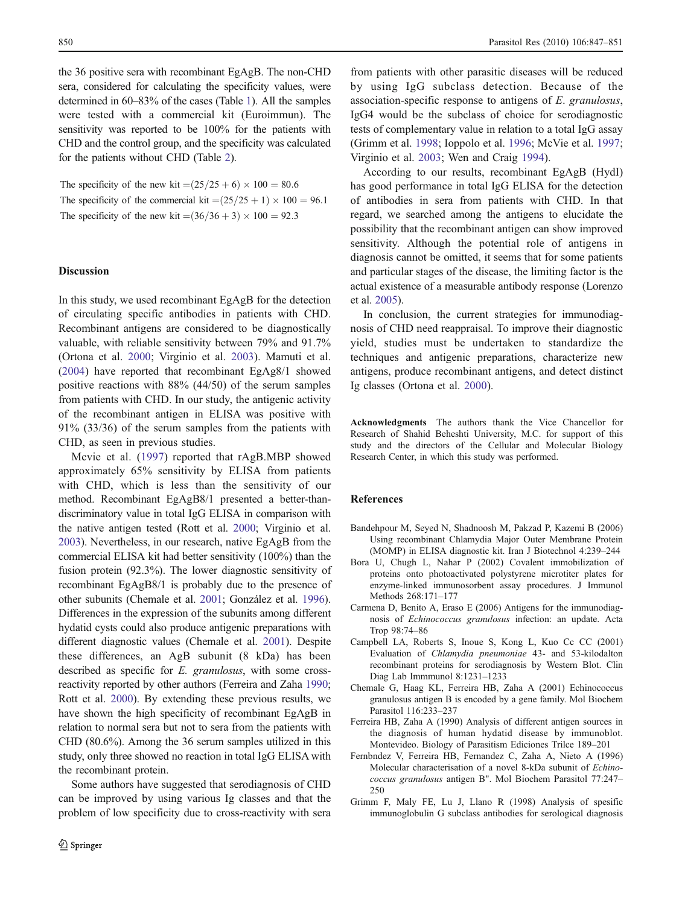<span id="page-3-0"></span>the 36 positive sera with recombinant EgAgB. The non-CHD sera, considered for calculating the specificity values, were determined in 60–83% of the cases (Table [1\)](#page-2-0). All the samples were tested with a commercial kit (Euroimmun). The sensitivity was reported to be 100% for the patients with CHD and the control group, and the specificity was calculated for the patients without CHD (Table [2](#page-2-0)).

The specificity of the new kit  $=(25/25+6) \times 100 = 80.6$ The specificity of the commercial kit  $=(25/25+1) \times 100 = 96.1$ The specificity of the new kit  $=(36/36+3) \times 100 = 92.3$ 

### **Discussion**

In this study, we used recombinant EgAgB for the detection of circulating specific antibodies in patients with CHD. Recombinant antigens are considered to be diagnostically valuable, with reliable sensitivity between 79% and 91.7% (Ortona et al. [2000;](#page-4-0) Virginio et al. [2003\)](#page-4-0). Mamuti et al. [\(2004](#page-4-0)) have reported that recombinant EgAg8/1 showed positive reactions with 88% (44/50) of the serum samples from patients with CHD. In our study, the antigenic activity of the recombinant antigen in ELISA was positive with 91% (33/36) of the serum samples from the patients with CHD, as seen in previous studies.

Mcvie et al. ([1997](#page-4-0)) reported that rAgB.MBP showed approximately 65% sensitivity by ELISA from patients with CHD, which is less than the sensitivity of our method. Recombinant EgAgB8/1 presented a better-thandiscriminatory value in total IgG ELISA in comparison with the native antigen tested (Rott et al. [2000](#page-4-0); Virginio et al. [2003\)](#page-4-0). Nevertheless, in our research, native EgAgB from the commercial ELISA kit had better sensitivity (100%) than the fusion protein (92.3%). The lower diagnostic sensitivity of recombinant EgAgB8/1 is probably due to the presence of other subunits (Chemale et al. 2001; González et al. [1996\)](#page-4-0). Differences in the expression of the subunits among different hydatid cysts could also produce antigenic preparations with different diagnostic values (Chemale et al. 2001). Despite these differences, an AgB subunit (8 kDa) has been described as specific for E. granulosus, with some crossreactivity reported by other authors (Ferreira and Zaha 1990; Rott et al. [2000](#page-4-0)). By extending these previous results, we have shown the high specificity of recombinant EgAgB in relation to normal sera but not to sera from the patients with CHD (80.6%). Among the 36 serum samples utilized in this study, only three showed no reaction in total IgG ELISA with the recombinant protein.

Some authors have suggested that serodiagnosis of CHD can be improved by using various Ig classes and that the problem of low specificity due to cross-reactivity with sera

from patients with other parasitic diseases will be reduced by using IgG subclass detection. Because of the association-specific response to antigens of E. granulosus, IgG4 would be the subclass of choice for serodiagnostic tests of complementary value in relation to a total IgG assay (Grimm et al. 1998; Ioppolo et al. [1996](#page-4-0); McVie et al. [1997;](#page-4-0) Virginio et al. [2003](#page-4-0); Wen and Craig [1994\)](#page-4-0).

According to our results, recombinant EgAgB (HydІ) has good performance in total IgG ELISA for the detection of antibodies in sera from patients with CHD. In that regard, we searched among the antigens to elucidate the possibility that the recombinant antigen can show improved sensitivity. Although the potential role of antigens in diagnosis cannot be omitted, it seems that for some patients and particular stages of the disease, the limiting factor is the actual existence of a measurable antibody response (Lorenzo et al. [2005](#page-4-0)).

In conclusion, the current strategies for immunodiagnosis of CHD need reappraisal. To improve their diagnostic yield, studies must be undertaken to standardize the techniques and antigenic preparations, characterize new antigens, produce recombinant antigens, and detect distinct Ig classes (Ortona et al. [2000](#page-4-0)).

Acknowledgments The authors thank the Vice Chancellor for Research of Shahid Beheshti University, M.C. for support of this study and the directors of the Cellular and Molecular Biology Research Center, in which this study was performed.

#### References

- Bandehpour M, Seyed N, Shadnoosh M, Pakzad P, Kazemi B (2006) Using recombinant Chlamydia Major Outer Membrane Protein (MOMP) in ELISA diagnostic kit. Iran J Biotechnol 4:239–244
- Bora U, Chugh L, Nahar P (2002) Covalent immobilization of proteins onto photoactivated polystyrene microtiter plates for enzyme-linked immunosorbent assay procedures. J Immunol Methods 268:171–177
- Carmena D, Benito A, Eraso E (2006) Antigens for the immunodiagnosis of Echinococcus granulosus infection: an update. Acta Trop 98:74–86
- Campbell LA, Roberts S, Inoue S, Kong L, Kuo Cc CC (2001) Evaluation of Chlamydia pneumoniae 43- and 53-kilodalton recombinant proteins for serodiagnosis by Western Blot. Clin Diag Lab Immmunol 8:1231–1233
- Chemale G, Haag KL, Ferreira HB, Zaha A (2001) Echinococcus granulosus antigen B is encoded by a gene family. Mol Biochem Parasitol 116:233–237
- Ferreira HB, Zaha A (1990) Analysis of different antigen sources in the diagnosis of human hydatid disease by immunoblot. Montevideo. Biology of Parasitism Ediciones Trilce 189–201
- Fernbndez V, Ferreira HB, Fernandez C, Zaha A, Nieto A (1996) Molecular characterisation of a novel 8-kDa subunit of Echinococcus granulosus antigen B". Mol Biochem Parasitol 77:247– 250
- Grimm F, Maly FE, Lu J, Llano R (1998) Analysis of spesific immunoglobulin G subclass antibodies for serological diagnosis